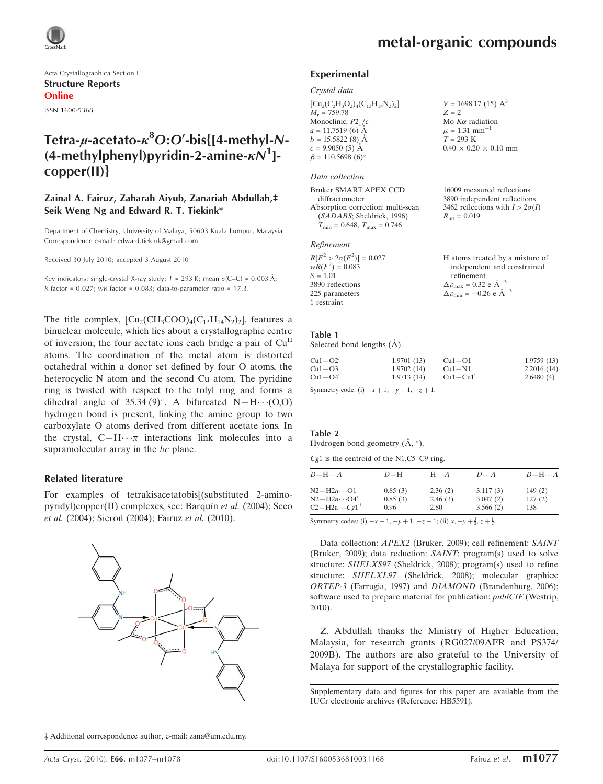Acta Crystallographica Section E Structure Reports Online ISSN 1600-5368

## Tetra-µ-acetato- $\kappa^8$ O:O'-bis{[4-methyl-N-(4-methylphenyl)pyridin-2-amine- $\kappa N^1$ ]copper(II)}

#### Zainal A. Fairuz, Zaharah Aiyub, Zanariah Abdullah,‡ Seik Weng Ng and Edward R. T. Tiekink\*

Department of Chemistry, University of Malaya, 50603 Kuala Lumpur, Malaysia Correspondence e-mail: edward.tiekink@gmail.com

Received 30 July 2010; accepted 3 August 2010

Key indicators: single-crystal X-ray study;  $T = 293$  K; mean  $\sigma$ (C–C) = 0.003 Å;  $R$  factor = 0.027;  $wR$  factor = 0.083; data-to-parameter ratio = 17.3.

The title complex,  $\text{[Cu}_2(\text{CH}_3\text{COO})_4(\text{C}_{13}\text{H}_{14}\text{N}_2)_2\text{]}$ , features a binuclear molecule, which lies about a crystallographic centre of inversion; the four acetate ions each bridge a pair of Cu<sup>II</sup> atoms. The coordination of the metal atom is distorted octahedral within a donor set defined by four O atoms, the heterocyclic N atom and the second Cu atom. The pyridine ring is twisted with respect to the tolyl ring and forms a dihedral angle of 35.34 (9)°. A bifurcated  $N-H\cdots(0,0)$ hydrogen bond is present, linking the amine group to two carboxylate O atoms derived from different acetate ions. In the crystal,  $C-H \cdot \cdot \pi$  interactions link molecules into a supramolecular array in the bc plane.

#### Related literature

For examples of tetrakisacetatobis[(substituted 2-aminopyridyl)copper(II) complexes, see: Barquín et al. (2004); Seco et al. (2004); Sieron<sup>(2004</sup>); Fairuz et al. (2010).

#### ‡ Additional correspondence author, e-mail: zana@um.edu.my.

 $V = 1698.17(15)$   $\AA^3$ 

 $0.40 \times 0.20 \times 0.10$  mm

16009 measured reflections 3890 independent reflections 3462 reflections with  $I > 2\sigma(I)$ 

Mo  $K\alpha$  radiation  $\mu = 1.31$  mm<sup>-1</sup>  $T = 293 \text{ K}$ 

 $R_{\text{int}} = 0.019$ 

 $Z = 2$ 

#### Experimental

#### Crystal data

 $[Cu_2(C_2H_3O_2)_4(C_{13}H_{14}N_2)_2]$  $M_r = 759.78$ Monoclinic,  $P2<sub>1</sub>/c$  $a = 11.7519(6)$  Å  $b = 15.5822(8)$  Å  $c = 9.9050(5)$  Å  $\beta = 110.5698 (6)$ 

#### Data collection

Bruker SMART APEX CCD diffractometer Absorption correction: multi-scan (SADABS; Sheldrick, 1996)  $T_{\text{min}} = 0.648, T_{\text{max}} = 0.746$ 

#### Refinement

| $R[F^2 > 2\sigma(F^2)] = 0.027$ | H atoms treated by a mixture of                    |
|---------------------------------|----------------------------------------------------|
| $wR(F^2) = 0.083$               | independent and constrained                        |
| $S = 1.01$                      | refinement                                         |
| 3890 reflections                | $\Delta \rho_{\text{max}} = 0.32 \text{ e A}^{-3}$ |
| 225 parameters                  | $\Delta \rho_{\text{min}} = -0.26$ e $\AA^{-3}$    |
| 1 restraint                     |                                                    |

### Table 1

Selected bond lengths  $(A)$ .

| $Cu1-O21$ | 1.9701(13) | $Cu1-O1$     | 1.9759(13) |
|-----------|------------|--------------|------------|
| $Cu1-O3$  | 1.9702(14) | $Cu1-N1$     | 2.2016(14) |
| $Cu1-O4'$ | 1.9713(14) | $Cu1 - Cu1'$ | 2.6480(4)  |
|           |            |              |            |

Symmetry code: (i)  $-x + 1$ ,  $-y + 1$ ,  $-z + 1$ .

#### Table 2

Hydrogen-bond geometry  $(\AA, \degree)$ .

|  | $Cg1$ is the centroid of the N1,C5–C9 ring. |  |  |  |  |
|--|---------------------------------------------|--|--|--|--|
|--|---------------------------------------------|--|--|--|--|

| $D - H \cdots A$        | $D-H$   | $H\cdots A$ | $D\cdots A$ | $D - H \cdots A$ |
|-------------------------|---------|-------------|-------------|------------------|
| $N2-H2n\cdots O1$       | 0.85(3) | 2.36(2)     | 3.117(3)    | 149(2)           |
| $N2-H2n\cdots O4^1$     | 0.85(3) | 2.46(3)     | 3.047(2)    | 127(2)           |
| $C2-H2a\cdots Cg1^{ii}$ | 0.96    | 2.80        | 3.566(2)    | 138              |

Symmetry codes: (i)  $-x + 1$ ,  $-y + 1$ ,  $-z + 1$ ; (ii)  $x$ ,  $-y + \frac{3}{2}$ ,  $z + \frac{1}{2}$ .

Data collection: APEX2 (Bruker, 2009); cell refinement: SAINT (Bruker, 2009); data reduction: SAINT; program(s) used to solve structure: SHELXS97 (Sheldrick, 2008); program(s) used to refine structure: SHELXL97 (Sheldrick, 2008); molecular graphics: ORTEP-3 (Farrugia, 1997) and DIAMOND (Brandenburg, 2006); software used to prepare material for publication: *publCIF* (Westrip, 2010).

Z. Abdullah thanks the Ministry of Higher Education, Malaysia, for research grants (RG027/09AFR and PS374/ 2009B). The authors are also grateful to the University of Malaya for support of the crystallographic facility.

Supplementary data and figures for this paper are available from the IUCr electronic archives (Reference: HB5591).

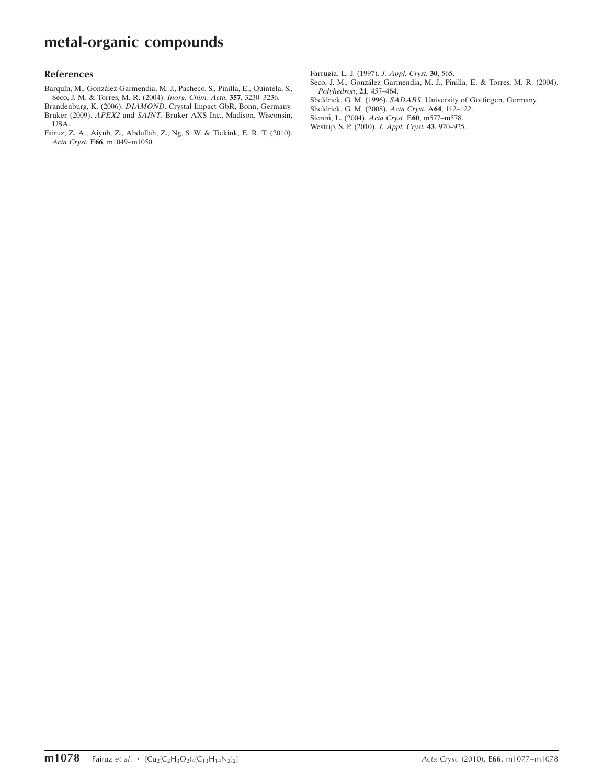#### References

Barquín, M., González Garmendia, M. J., Pacheco, S., Pinilla, E., Quintela, S., [Seco, J. M. & Torres, M. R. \(2004\).](https://scripts.iucr.org/cgi-bin/cr.cgi?rm=pdfbb&cnor=hb5591&bbid=BB1) *Inorg. Chim. Acta*, **357**, 3230–3236.

Brandenburg, K. (2006). DIAMOND[. Crystal Impact GbR, Bonn, Germany.](https://scripts.iucr.org/cgi-bin/cr.cgi?rm=pdfbb&cnor=hb5591&bbid=BB2) Bruker (2009). APEX2 and SAINT[. Bruker AXS Inc., Madison, Wisconsin,](https://scripts.iucr.org/cgi-bin/cr.cgi?rm=pdfbb&cnor=hb5591&bbid=BB3) [USA.](https://scripts.iucr.org/cgi-bin/cr.cgi?rm=pdfbb&cnor=hb5591&bbid=BB3)

[Fairuz, Z. A., Aiyub, Z., Abdullah, Z., Ng, S. W. & Tiekink, E. R. T. \(2010\).](https://scripts.iucr.org/cgi-bin/cr.cgi?rm=pdfbb&cnor=hb5591&bbid=BB4) Acta Cryst. E66[, m1049–m1050.](https://scripts.iucr.org/cgi-bin/cr.cgi?rm=pdfbb&cnor=hb5591&bbid=BB4)

[Farrugia, L. J. \(1997\).](https://scripts.iucr.org/cgi-bin/cr.cgi?rm=pdfbb&cnor=hb5591&bbid=BB5) J. Appl. Cryst. 30, 565.

Seco, J. M., González Garmendia, M. J., Pinilla, E. & Torres, M. R. (2004). [Polyhedron](https://scripts.iucr.org/cgi-bin/cr.cgi?rm=pdfbb&cnor=hb5591&bbid=BB6), 21, 457–464.

Sheldrick, G. M. (1996). SADABS. University of Göttingen, Germany.

[Sheldrick, G. M. \(2008\).](https://scripts.iucr.org/cgi-bin/cr.cgi?rm=pdfbb&cnor=hb5591&bbid=BB8) Acta Cryst. A64, 112–122.

Sieron, L. (2004). Acta Cryst. E60, m577-m578.

[Westrip, S. P. \(2010\).](https://scripts.iucr.org/cgi-bin/cr.cgi?rm=pdfbb&cnor=hb5591&bbid=BB10) J. Appl. Cryst. 43, 920–925.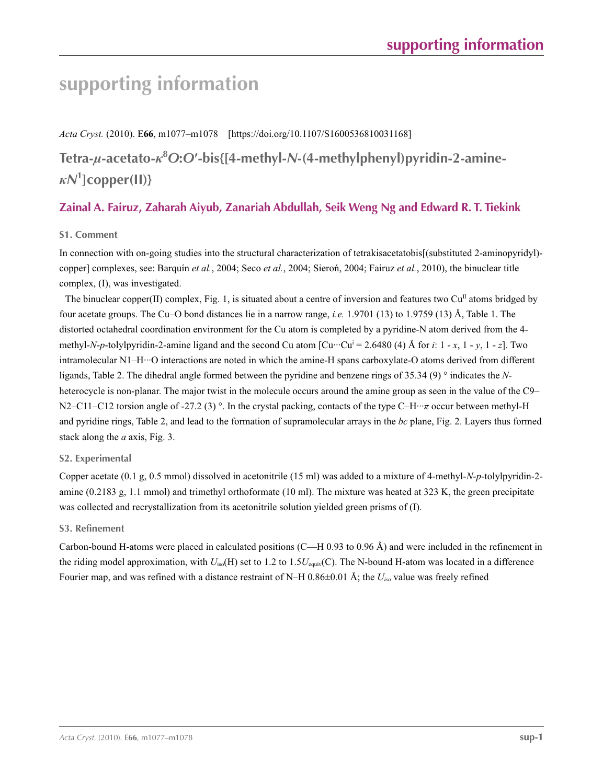# **supporting information**

*Acta Cryst.* (2010). E**66**, m1077–m1078 [https://doi.org/10.1107/S1600536810031168]

**Tetra-***µ***-acetato-***κ***<sup>8</sup>** *O***:***O***′-bis{[4-methyl-***N***-(4-methylphenyl)pyridin-2-amine***κN***<sup>1</sup> ]copper(II)}**

### **Zainal A. Fairuz, Zaharah Aiyub, Zanariah Abdullah, Seik Weng Ng and Edward R. T. Tiekink**

### **S1. Comment**

In connection with on-going studies into the structural characterization of tetrakisacetatobis[(substituted 2-aminopyridyl) copper] complexes, see: Barquín *et al.*, 2004; Seco *et al.*, 2004; Sieroń, 2004; Fairuz *et al.*, 2010), the binuclear title complex, (I), was investigated.

The binuclear copper(II) complex, Fig. 1, is situated about a centre of inversion and features two  $Cu<sup>II</sup>$  atoms bridged by four acetate groups. The Cu–O bond distances lie in a narrow range, *i.e.* 1.9701 (13) to 1.9759 (13) Å, Table 1. The distorted octahedral coordination environment for the Cu atom is completed by a pyridine-N atom derived from the 4 methyl-*N*-*p*-tolylpyridin-2-amine ligand and the second Cu atom [Cu···Cui = 2.6480 (4) Å for *i*: 1 - *x*, 1 - *y*, 1 - *z*]. Two intramolecular N1–H···O interactions are noted in which the amine-H spans carboxylate-O atoms derived from different ligands, Table 2. The dihedral angle formed between the pyridine and benzene rings of 35.34 (9) ° indicates the *N*heterocycle is non-planar. The major twist in the molecule occurs around the amine group as seen in the value of the C9– N2–C11–C12 torsion angle of -27.2 (3) °. In the crystal packing, contacts of the type C–H···*π* occur between methyl-H and pyridine rings, Table 2, and lead to the formation of supramolecular arrays in the *bc* plane, Fig. 2. Layers thus formed stack along the *a* axis, Fig. 3.

### **S2. Experimental**

Copper acetate (0.1 g, 0.5 mmol) dissolved in acetonitrile (15 ml) was added to a mixture of 4-methyl-*N*-*p*-tolylpyridin-2 amine (0.2183 g, 1.1 mmol) and trimethyl orthoformate (10 ml). The mixture was heated at 323 K, the green precipitate was collected and recrystallization from its acetonitrile solution yielded green prisms of (I).

### **S3. Refinement**

Carbon-bound H-atoms were placed in calculated positions (C—H 0.93 to 0.96 Å) and were included in the refinement in the riding model approximation, with *U*iso(H) set to 1.2 to 1.5*U*equiv(C). The N-bound H-atom was located in a difference Fourier map, and was refined with a distance restraint of N–H 0.86±0.01 Å; the *Uiso* value was freely refined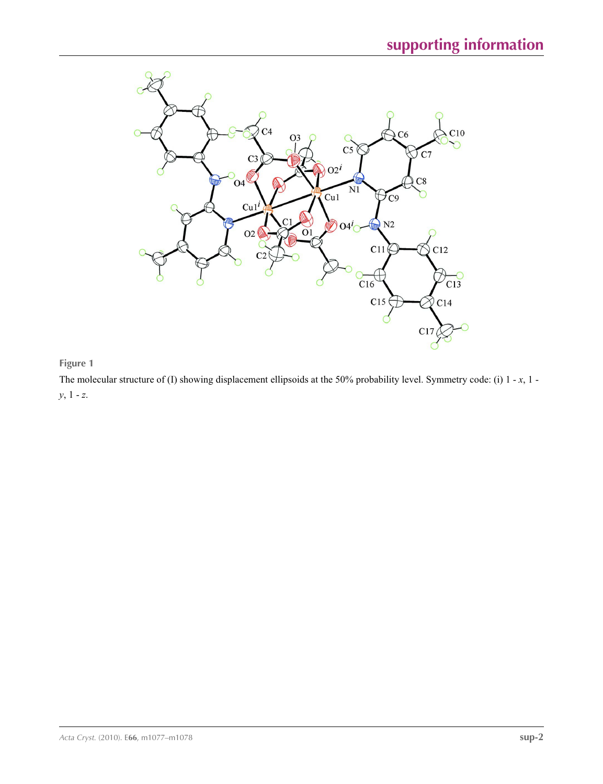

### **Figure 1**

The molecular structure of (I) showing displacement ellipsoids at the 50% probability level. Symmetry code: (i) 1 - *x*, 1 *y*, 1 - *z*.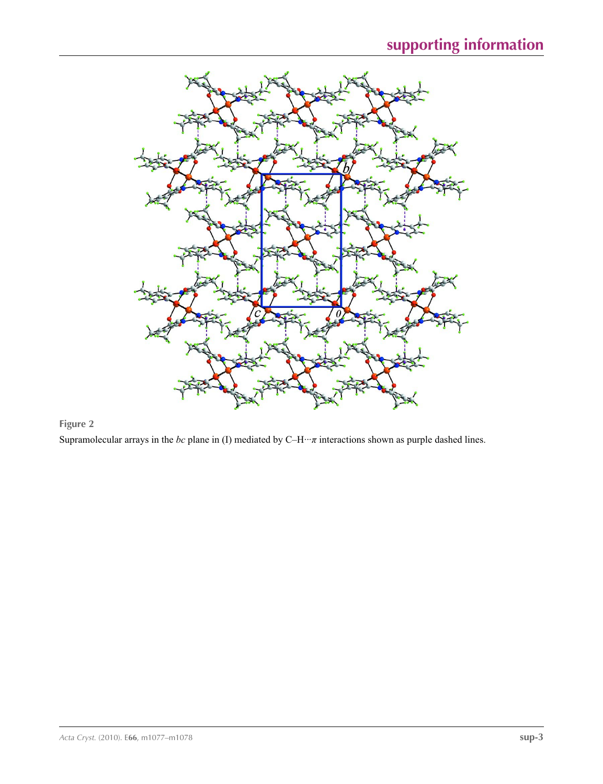

### **Figure 2**

Supramolecular arrays in the *bc* plane in (I) mediated by C–H···*π* interactions shown as purple dashed lines.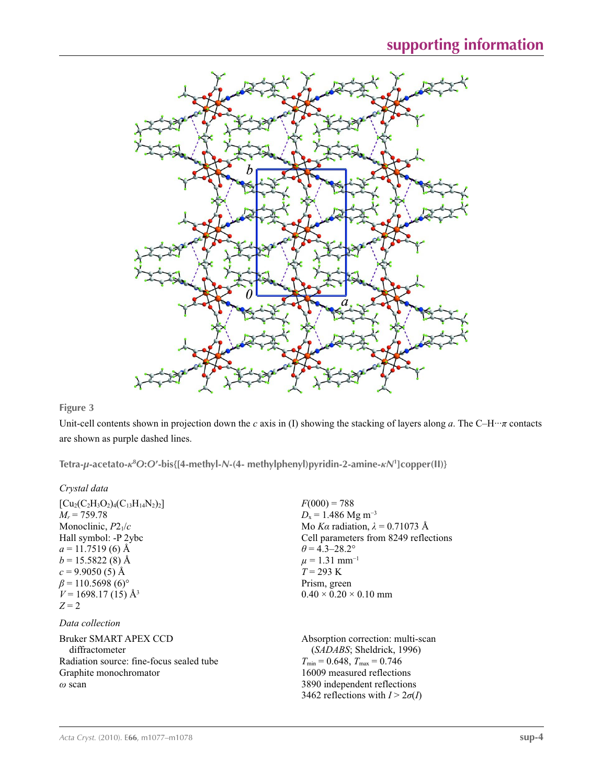

### **Figure 3**

Unit-cell contents shown in projection down the *c* axis in (I) showing the stacking of layers along *a*. The C–H···*π* contacts are shown as purple dashed lines.

**Tetra-***µ***-acetato-***κ***<sup>8</sup>** *O***:***O***′-bis{[4-methyl-***N***-(4- methylphenyl)pyridin-2-amine-***κN***<sup>1</sup> ]copper(II)}** 

### *Crystal data*

| $[Cu_2(C_2H_3O_2)_4(C_{13}H_{14}N_2)_2]$<br>$M_r = 759.78$<br>Monoclinic, $P2_1/c$<br>Hall symbol: -P 2ybc<br>$a = 11.7519(6)$ Å<br>$b = 15.5822(8)$ Å<br>$c = 9.9050(5)$ Å<br>$\beta$ = 110.5698 (6) <sup>o</sup><br>$V = 1698.17(15)$ Å <sup>3</sup><br>$Z=2$ | $F(000) = 788$<br>$D_x = 1.486$ Mg m <sup>-3</sup><br>Mo Ka radiation, $\lambda = 0.71073$ Å<br>Cell parameters from 8249 reflections<br>$\theta$ = 4.3–28.2°<br>$\mu = 1.31$ mm <sup>-1</sup><br>$T = 293 \text{ K}$<br>Prism, green<br>$0.40 \times 0.20 \times 0.10$ mm |
|-----------------------------------------------------------------------------------------------------------------------------------------------------------------------------------------------------------------------------------------------------------------|----------------------------------------------------------------------------------------------------------------------------------------------------------------------------------------------------------------------------------------------------------------------------|
| Data collection                                                                                                                                                                                                                                                 |                                                                                                                                                                                                                                                                            |
| Bruker SMART APEX CCD<br>diffractometer<br>Radiation source: fine-focus sealed tube<br>Graphite monochromator<br>$\omega$ scan                                                                                                                                  | Absorption correction: multi-scan<br>( <i>SADABS</i> ; Sheldrick, 1996)<br>$T_{\min}$ = 0.648, $T_{\max}$ = 0.746<br>16009 measured reflections<br>3890 independent reflections<br>3462 reflections with $I > 2\sigma(I)$                                                  |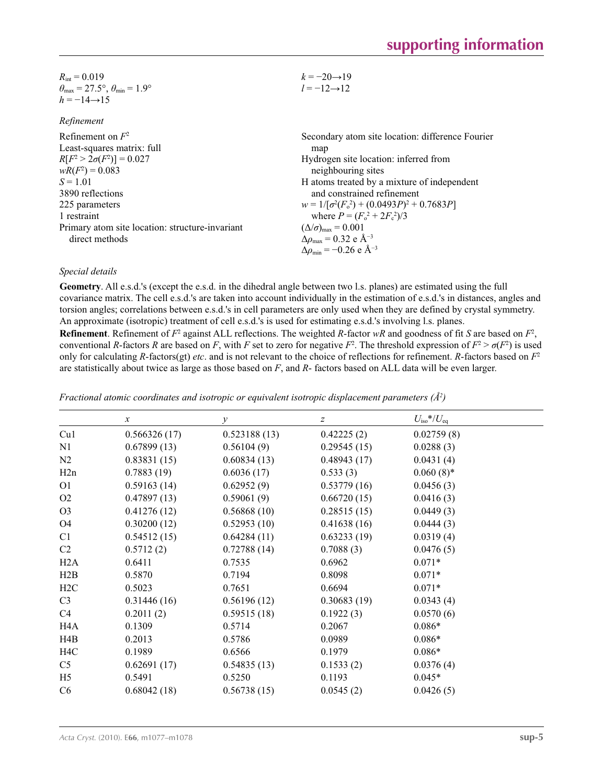| $R_{\rm int} = 0.019$                                                   | $k = -20 \rightarrow 19$ |
|-------------------------------------------------------------------------|--------------------------|
| $\theta_{\text{max}} = 27.5^{\circ}, \theta_{\text{min}} = 1.9^{\circ}$ | $l = -12 \rightarrow 12$ |
| $h = -14 \rightarrow 15$                                                |                          |

| кеппетепи                                       |                                                    |
|-------------------------------------------------|----------------------------------------------------|
| Refinement on $F^2$                             | Secondary atom site location: difference Fourier   |
| Least-squares matrix: full                      | map                                                |
| $R[F^2 > 2\sigma(F^2)] = 0.027$                 | Hydrogen site location: inferred from              |
| $wR(F^2) = 0.083$                               | neighbouring sites                                 |
| $S = 1.01$                                      | H atoms treated by a mixture of independent        |
| 3890 reflections                                | and constrained refinement                         |
| 225 parameters                                  | $w = 1/[\sigma^2(F_0^2) + (0.0493P)^2 + 0.7683P]$  |
| 1 restraint                                     | where $P = (F_o^2 + 2F_s^2)/3$                     |
| Primary atom site location: structure-invariant | $(\Delta/\sigma)_{\text{max}} = 0.001$             |
| direct methods                                  | $\Delta\rho_{\text{max}} = 0.32$ e Å <sup>-3</sup> |
|                                                 | $\Delta\rho_{\rm min} = -0.26$ e Å <sup>-3</sup>   |

#### *Special details*

*Refinement*

**Geometry**. All e.s.d.'s (except the e.s.d. in the dihedral angle between two l.s. planes) are estimated using the full covariance matrix. The cell e.s.d.'s are taken into account individually in the estimation of e.s.d.'s in distances, angles and torsion angles; correlations between e.s.d.'s in cell parameters are only used when they are defined by crystal symmetry. An approximate (isotropic) treatment of cell e.s.d.'s is used for estimating e.s.d.'s involving l.s. planes.

**Refinement**. Refinement of  $F^2$  against ALL reflections. The weighted *R*-factor  $wR$  and goodness of fit *S* are based on  $F^2$ , conventional *R*-factors *R* are based on *F*, with *F* set to zero for negative  $F^2$ . The threshold expression of  $F^2 > \sigma(F^2)$  is used only for calculating *R*-factors(gt) *etc*. and is not relevant to the choice of reflections for refinement. *R*-factors based on *F*<sup>2</sup> are statistically about twice as large as those based on *F*, and *R*- factors based on ALL data will be even larger.

|                  | $\boldsymbol{x}$ | $\mathcal{Y}$ | $\boldsymbol{z}$ | $U_{\rm iso}*/U_{\rm eq}$ |  |
|------------------|------------------|---------------|------------------|---------------------------|--|
| Cu1              | 0.566326(17)     | 0.523188(13)  | 0.42225(2)       | 0.02759(8)                |  |
| N1               | 0.67899(13)      | 0.56104(9)    | 0.29545(15)      | 0.0288(3)                 |  |
| N2               | 0.83831(15)      | 0.60834(13)   | 0.48943(17)      | 0.0431(4)                 |  |
| H2n              | 0.7883(19)       | 0.6036(17)    | 0.533(3)         | $0.060(8)$ *              |  |
| O <sub>1</sub>   | 0.59163(14)      | 0.62952(9)    | 0.53779(16)      | 0.0456(3)                 |  |
| O <sub>2</sub>   | 0.47897(13)      | 0.59061(9)    | 0.66720(15)      | 0.0416(3)                 |  |
| O <sub>3</sub>   | 0.41276(12)      | 0.56868(10)   | 0.28515(15)      | 0.0449(3)                 |  |
| O4               | 0.30200(12)      | 0.52953(10)   | 0.41638(16)      | 0.0444(3)                 |  |
| C1               | 0.54512(15)      | 0.64284(11)   | 0.63233(19)      | 0.0319(4)                 |  |
| C <sub>2</sub>   | 0.5712(2)        | 0.72788(14)   | 0.7088(3)        | 0.0476(5)                 |  |
| H2A              | 0.6411           | 0.7535        | 0.6962           | $0.071*$                  |  |
| H2B              | 0.5870           | 0.7194        | 0.8098           | $0.071*$                  |  |
| H2C              | 0.5023           | 0.7651        | 0.6694           | $0.071*$                  |  |
| C <sub>3</sub>   | 0.31446(16)      | 0.56196(12)   | 0.30683(19)      | 0.0343(4)                 |  |
| C <sub>4</sub>   | 0.2011(2)        | 0.59515(18)   | 0.1922(3)        | 0.0570(6)                 |  |
| H <sub>4</sub> A | 0.1309           | 0.5714        | 0.2067           | $0.086*$                  |  |
| H4B              | 0.2013           | 0.5786        | 0.0989           | $0.086*$                  |  |
| H <sub>4</sub> C | 0.1989           | 0.6566        | 0.1979           | $0.086*$                  |  |
| C <sub>5</sub>   | 0.62691(17)      | 0.54835(13)   | 0.1533(2)        | 0.0376(4)                 |  |
| H <sub>5</sub>   | 0.5491           | 0.5250        | 0.1193           | $0.045*$                  |  |
| C6               | 0.68042(18)      | 0.56738(15)   | 0.0545(2)        | 0.0426(5)                 |  |
|                  |                  |               |                  |                           |  |

*Fractional atomic coordinates and isotropic or equivalent isotropic displacement parameters (Å<sup>2</sup>)*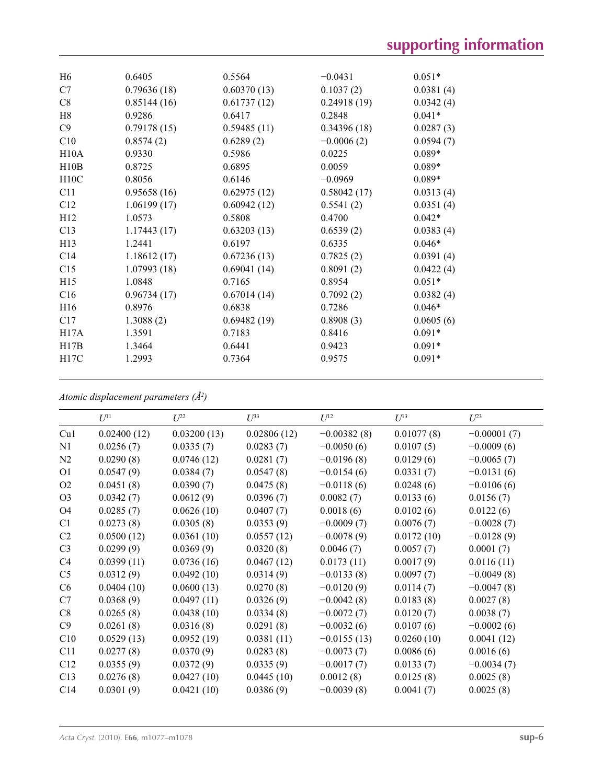| H <sub>6</sub>  | 0.6405      | 0.5564      | $-0.0431$    | $0.051*$  |
|-----------------|-------------|-------------|--------------|-----------|
| C7              | 0.79636(18) | 0.60370(13) | 0.1037(2)    | 0.0381(4) |
| C8              | 0.85144(16) | 0.61737(12) | 0.24918(19)  | 0.0342(4) |
| H8              | 0.9286      | 0.6417      | 0.2848       | $0.041*$  |
| C9              | 0.79178(15) | 0.59485(11) | 0.34396(18)  | 0.0287(3) |
| C10             | 0.8574(2)   | 0.6289(2)   | $-0.0006(2)$ | 0.0594(7) |
| H10A            | 0.9330      | 0.5986      | 0.0225       | $0.089*$  |
| H10B            | 0.8725      | 0.6895      | 0.0059       | $0.089*$  |
| H10C            | 0.8056      | 0.6146      | $-0.0969$    | $0.089*$  |
| C11             | 0.95658(16) | 0.62975(12) | 0.58042(17)  | 0.0313(4) |
| C12             | 1.06199(17) | 0.60942(12) | 0.5541(2)    | 0.0351(4) |
| H12             | 1.0573      | 0.5808      | 0.4700       | $0.042*$  |
| C13             | 1.17443(17) | 0.63203(13) | 0.6539(2)    | 0.0383(4) |
| H13             | 1.2441      | 0.6197      | 0.6335       | $0.046*$  |
| C <sub>14</sub> | 1.18612(17) | 0.67236(13) | 0.7825(2)    | 0.0391(4) |
| C15             | 1.07993(18) | 0.69041(14) | 0.8091(2)    | 0.0422(4) |
| H15             | 1.0848      | 0.7165      | 0.8954       | $0.051*$  |
| C16             | 0.96734(17) | 0.67014(14) | 0.7092(2)    | 0.0382(4) |
| H <sub>16</sub> | 0.8976      | 0.6838      | 0.7286       | $0.046*$  |
| C17             | 1.3088(2)   | 0.69482(19) | 0.8908(3)    | 0.0605(6) |
| H17A            | 1.3591      | 0.7183      | 0.8416       | $0.091*$  |
| H17B            | 1.3464      | 0.6441      | 0.9423       | $0.091*$  |
| H17C            | 1.2993      | 0.7364      | 0.9575       | $0.091*$  |
|                 |             |             |              |           |

*Atomic displacement parameters (Å2 )*

|                | $U^{11}$    | $U^{22}$    | $U^{33}$    | $U^{12}$      | $U^{13}$   | $U^{23}$      |
|----------------|-------------|-------------|-------------|---------------|------------|---------------|
| Cu1            | 0.02400(12) | 0.03200(13) | 0.02806(12) | $-0.00382(8)$ | 0.01077(8) | $-0.00001(7)$ |
| N1             | 0.0256(7)   | 0.0335(7)   | 0.0283(7)   | $-0.0050(6)$  | 0.0107(5)  | $-0.0009(6)$  |
| N2             | 0.0290(8)   | 0.0746(12)  | 0.0281(7)   | $-0.0196(8)$  | 0.0129(6)  | $-0.0065(7)$  |
| O <sub>1</sub> | 0.0547(9)   | 0.0384(7)   | 0.0547(8)   | $-0.0154(6)$  | 0.0331(7)  | $-0.0131(6)$  |
| O <sub>2</sub> | 0.0451(8)   | 0.0390(7)   | 0.0475(8)   | $-0.0118(6)$  | 0.0248(6)  | $-0.0106(6)$  |
| O <sub>3</sub> | 0.0342(7)   | 0.0612(9)   | 0.0396(7)   | 0.0082(7)     | 0.0133(6)  | 0.0156(7)     |
| O <sub>4</sub> | 0.0285(7)   | 0.0626(10)  | 0.0407(7)   | 0.0018(6)     | 0.0102(6)  | 0.0122(6)     |
| C1             | 0.0273(8)   | 0.0305(8)   | 0.0353(9)   | $-0.0009(7)$  | 0.0076(7)  | $-0.0028(7)$  |
| C <sub>2</sub> | 0.0500(12)  | 0.0361(10)  | 0.0557(12)  | $-0.0078(9)$  | 0.0172(10) | $-0.0128(9)$  |
| C <sub>3</sub> | 0.0299(9)   | 0.0369(9)   | 0.0320(8)   | 0.0046(7)     | 0.0057(7)  | 0.0001(7)     |
| C4             | 0.0399(11)  | 0.0736(16)  | 0.0467(12)  | 0.0173(11)    | 0.0017(9)  | 0.0116(11)    |
| C <sub>5</sub> | 0.0312(9)   | 0.0492(10)  | 0.0314(9)   | $-0.0133(8)$  | 0.0097(7)  | $-0.0049(8)$  |
| C <sub>6</sub> | 0.0404(10)  | 0.0600(13)  | 0.0270(8)   | $-0.0120(9)$  | 0.0114(7)  | $-0.0047(8)$  |
| C7             | 0.0368(9)   | 0.0497(11)  | 0.0326(9)   | $-0.0042(8)$  | 0.0183(8)  | 0.0027(8)     |
| C8             | 0.0265(8)   | 0.0438(10)  | 0.0334(8)   | $-0.0072(7)$  | 0.0120(7)  | 0.0038(7)     |
| C9             | 0.0261(8)   | 0.0316(8)   | 0.0291(8)   | $-0.0032(6)$  | 0.0107(6)  | $-0.0002(6)$  |
| C10            | 0.0529(13)  | 0.0952(19)  | 0.0381(11)  | $-0.0155(13)$ | 0.0260(10) | 0.0041(12)    |
| C11            | 0.0277(8)   | 0.0370(9)   | 0.0283(8)   | $-0.0073(7)$  | 0.0086(6)  | 0.0016(6)     |
| C12            | 0.0355(9)   | 0.0372(9)   | 0.0335(9)   | $-0.0017(7)$  | 0.0133(7)  | $-0.0034(7)$  |
| C13            | 0.0276(8)   | 0.0427(10)  | 0.0445(10)  | 0.0012(8)     | 0.0125(8)  | 0.0025(8)     |
| C14            | 0.0301(9)   | 0.0421(10)  | 0.0386(9)   | $-0.0039(8)$  | 0.0041(7)  | 0.0025(8)     |
|                |             |             |             |               |            |               |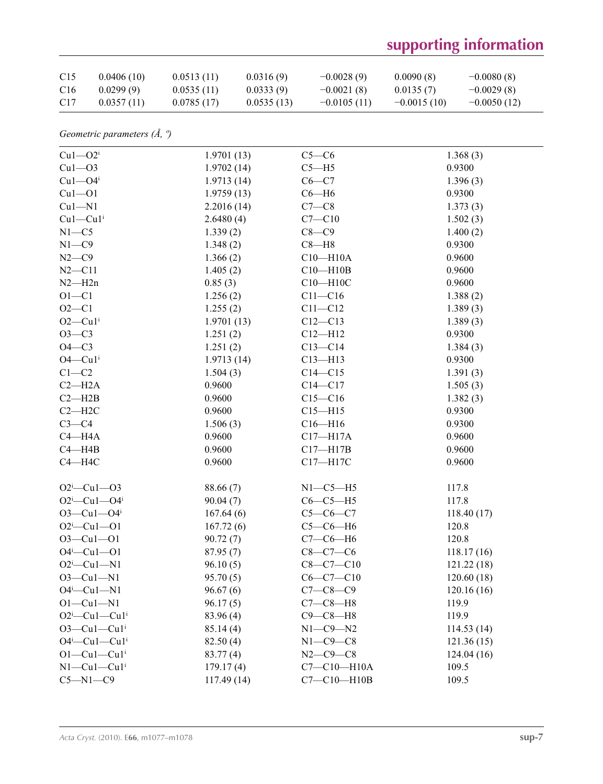## **supporting information**

| C <sub>15</sub> | 0.0406(10) | 0.0513(11) | 0.0316(9)  | $-0.0028(9)$  | 0.0090(8)     | $-0.0080(8)$  |
|-----------------|------------|------------|------------|---------------|---------------|---------------|
| C <sub>16</sub> | 0.0299(9)  | 0.0535(11) | 0.0333(9)  | $-0.0021(8)$  | 0.0135(7)     | $-0.0029(8)$  |
| C <sub>17</sub> | 0.0357(11) | 0.0785(17) | 0.0535(13) | $-0.0105(11)$ | $-0.0015(10)$ | $-0.0050(12)$ |

*Geometric parameters (Å, º)*

| $Cu1 - O2i$                       | 1.9701(13) | $C5-C6$           | 1.368(3)   |
|-----------------------------------|------------|-------------------|------------|
| $Cu1 - O3$                        | 1.9702(14) | $C5 - H5$         | 0.9300     |
| $Cu1 - O4$ <sup>i</sup>           | 1.9713(14) | $C6-C7$           | 1.396(3)   |
| $Cu1 - O1$                        | 1.9759(13) | $C6 - H6$         | 0.9300     |
| $Cu1 - N1$                        | 2.2016(14) | $C7-C8$           | 1.373(3)   |
| $Cu1-Cu1$ <sup>i</sup>            | 2.6480(4)  | $C7 - C10$        | 1.502(3)   |
| $N1 - C5$                         | 1.339(2)   | $C8-C9$           | 1.400(2)   |
| $N1 - C9$                         | 1.348(2)   | $C8 - H8$         | 0.9300     |
| $N2-C9$                           | 1.366(2)   | $C10 - H10A$      | 0.9600     |
| $N2 - C11$                        | 1.405(2)   | $C10 - H10B$      | 0.9600     |
| $N2 - H2n$                        | 0.85(3)    | $C10 - H10C$      | 0.9600     |
| $O1 - C1$                         | 1.256(2)   | $C11 - C16$       | 1.388(2)   |
| $O2 - C1$                         | 1.255(2)   | $C11 - C12$       | 1.389(3)   |
| $O2$ —Cu $1i$                     | 1.9701(13) | $C12 - C13$       | 1.389(3)   |
| $O3-C3$                           | 1.251(2)   | $C12 - H12$       | 0.9300     |
| $O4-C3$                           | 1.251(2)   | $C13 - C14$       | 1.384(3)   |
| $O4$ — $Cu1i$                     | 1.9713(14) | $C13 - H13$       | 0.9300     |
| $C1-C2$                           | 1.504(3)   | $C14 - C15$       | 1.391(3)   |
| $C2-H2A$                          | 0.9600     | $C14 - C17$       | 1.505(3)   |
| $C2 - H2B$                        | 0.9600     | $C15 - C16$       | 1.382(3)   |
| $C2 - H2C$                        | 0.9600     | $C15 - H15$       | 0.9300     |
| $C3-C4$                           | 1.506(3)   | $C16 - H16$       | 0.9300     |
| $C4 - H4A$                        | 0.9600     | $C17 - H17A$      | 0.9600     |
| $C4 - H4B$                        | 0.9600     | $C17 - H17B$      | 0.9600     |
| $C4 - H4C$                        | 0.9600     | C17-H17C          | 0.9600     |
|                                   |            |                   |            |
| $O2^i$ -Cul- $O3$                 | 88.66 (7)  | $N1-C5-H5$        | 117.8      |
| $O2^i$ -Cu1- $O4^i$               | 90.04(7)   | $C6-C5-H5$        | 117.8      |
| $O3 - Cu1 - O4$ <sup>i</sup>      | 167.64(6)  | $C5-C6-C7$        | 118.40(17) |
| $O2^i$ -Cul--O1                   | 167.72(6)  | $C5-C6-H6$        | 120.8      |
| $O3 - Cu1 - O1$                   | 90.72(7)   | $C7-C6-H6$        | 120.8      |
| $O4^i$ —Cu1—O1                    | 87.95(7)   | $C8-C7-C6$        | 118.17(16) |
| $O2^i$ -Cul-N1                    | 96.10(5)   | $C8 - C7 - C10$   | 121.22(18) |
| $O3 - Cu1 - N1$                   | 95.70(5)   | $C6-C7-C10$       | 120.60(18) |
| $O4^i$ -Cul-Nl                    | 96.67(6)   | $C7 - C8 - C9$    | 120.16(16) |
| $O1-Cu1-N1$                       | 96.17(5)   | $C7-C8-H8$        | 119.9      |
| $O2^i$ -Cul-Cul <sup>i</sup>      | 83.96 (4)  | $C9 - C8 - H8$    | 119.9      |
| $O3$ —Cu $1$ —Cu $1$ <sup>i</sup> | 85.14(4)   | $N1-C9-N2$        | 114.53(14) |
| $O4^i$ —Cu $1$ —Cu $1^i$          | 82.50(4)   | $N1-C9-C8$        | 121.36(15) |
| $O1-Cu1-Cu1$ <sup>i</sup>         | 83.77(4)   | $N2 - C9 - C8$    | 124.04(16) |
| $N1-Cu1-Cu1$ <sup>i</sup>         | 179.17(4)  | $C7 - C10 - H10A$ | 109.5      |
| $C5 - N1 - C9$                    | 117.49(14) | $C7 - C10 - H10B$ | 109.5      |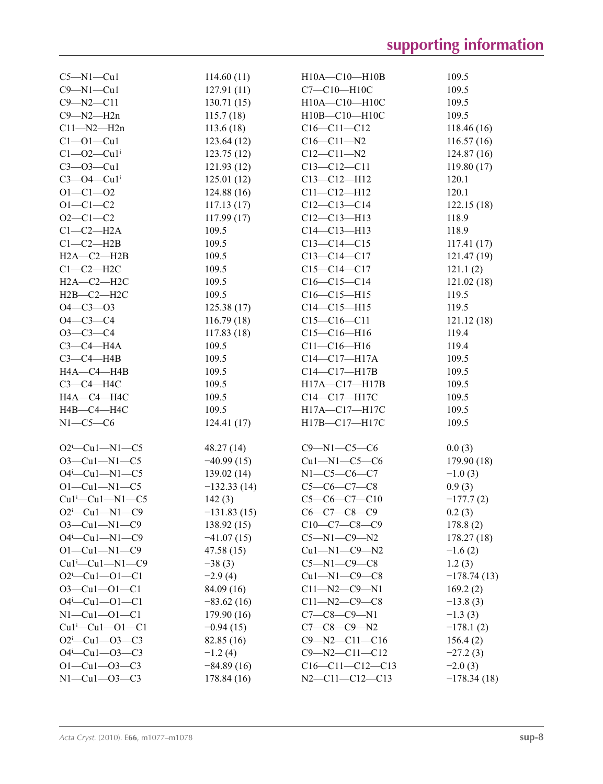| $C5 - N1 - Cu1$                   | 114.60(11)    | H10A-C10-H10B          | 109.5         |
|-----------------------------------|---------------|------------------------|---------------|
| $C9 - N1 - Cu1$                   | 127.91(11)    | C7-C10-H10C            | 109.5         |
| $C9 - N2 - C11$                   | 130.71(15)    | H10A-C10-H10C          | 109.5         |
| $C9 - N2 - H2n$                   | 115.7(18)     | H10B-C10-H10C          | 109.5         |
| $C11 - N2 - H2n$                  | 113.6(18)     | $C16 - C11 - C12$      | 118.46(16)    |
| $C1 - 01 - Cu1$                   | 123.64(12)    | $C16 - C11 - N2$       | 116.57(16)    |
| $C1 - 02 - Cu1$                   | 123.75(12)    | $C12 - C11 - N2$       | 124.87(16)    |
| $C3 - O3 - Cu1$                   | 121.93(12)    | $C13 - C12 - C11$      | 119.80(17)    |
| $C3 - O4 - Cu1$                   | 125.01(12)    | $C13 - C12 - H12$      | 120.1         |
| $O1 - C1 - O2$                    | 124.88(16)    | $C11 - C12 - H12$      | 120.1         |
| $O1 - C1 - C2$                    | 117.13(17)    | $C12-C13-C14$          | 122.15(18)    |
| $O2 - C1 - C2$                    | 117.99(17)    | $C12 - C13 - H13$      | 118.9         |
| $C1-C2-H2A$                       | 109.5         | $C14 - C13 - H13$      | 118.9         |
| $C1-C2-H2B$                       | 109.5         | $C13 - C14 - C15$      | 117.41(17)    |
| $H2A - C2 - H2B$                  | 109.5         | $C13 - C14 - C17$      | 121.47(19)    |
| $C1-C2-H2C$                       | 109.5         | $C15 - C14 - C17$      | 121.1(2)      |
| $H2A-C2-H2C$                      | 109.5         | $C16-C15-C14$          | 121.02(18)    |
| $H2B-C2-H2C$                      | 109.5         | $C16-C15-H15$          | 119.5         |
| $O4 - C3 - O3$                    | 125.38(17)    | $C14 - C15 - H15$      | 119.5         |
| $O4 - C3 - C4$                    | 116.79(18)    | $C15-C16-C11$          | 121.12(18)    |
| $O3 - C3 - C4$                    |               | $C15-C16-H16$          | 119.4         |
| $C3-C4-H4A$                       | 117.83(18)    |                        |               |
|                                   | 109.5         | $C11 - C16 - H16$      | 119.4         |
| $C3-C4-H4B$                       | 109.5         | $C14 - C17 - H17A$     | 109.5         |
| H4A-C4-H4B                        | 109.5         | $C14 - C17 - H17B$     | 109.5         |
| $C3-C4-H4C$                       | 109.5         | H17A-C17-H17B          | 109.5         |
| H4A-C4-H4C                        | 109.5         | C14-C17-H17C           | 109.5         |
| H4B-C4-H4C                        | 109.5         | H17A-C17-H17C          | 109.5         |
| $N1-C5-C6$                        | 124.41(17)    | H17B-C17-H17C          | 109.5         |
| $O2^i$ -Cu1-N1-C5                 | 48.27(14)     | $C9 - N1 - C5 - C6$    | 0.0(3)        |
| $O3$ —Cu1—N1—C5                   | $-40.99(15)$  | $Cu1-M1-C5-C6$         | 179.90(18)    |
| $O4^i$ -Cu1-N1-C5                 | 139.02(14)    | $N1 - C5 - C6 - C7$    |               |
|                                   |               |                        | $-1.0(3)$     |
| $O1 - Cu1 - N1 - C5$              | $-132.33(14)$ | $C5-C6-C7-C8$          | 0.9(3)        |
| $Cu1^i$ -Cu1-N1-C5                | 142(3)        | $C5-C6-C7-C10$         | $-177.7(2)$   |
| $O2^i$ -Cu1-N1-C9                 | $-131.83(15)$ | $C6 - C7 - C8 - C9$    | 0.2(3)        |
| $O3$ —Cu1—N1—C9                   | 138.92(15)    | $C10-C7-C8-C9$         | 178.8(2)      |
| $O4^i$ —Cu1—N1—C9                 | $-41.07(15)$  | $C5 - N1 - C9 - N2$    | 178.27(18)    |
| $O1 - Cu1 - N1 - C9$              | 47.58 (15)    | $Cu1 - N1 - C9 - N2$   | $-1.6(2)$     |
| $Cu1^{\text{L}}$ $Cu1$ $-M1$ $CO$ | $-38(3)$      | $C5 - N1 - C9 - C8$    | 1.2(3)        |
| $O2^i$ -Cu1- $O1$ -C1             | $-2.9(4)$     | $Cu1 - N1 - C9 - C8$   | $-178.74(13)$ |
| $O3 - Cu1 - O1 - C1$              | 84.09 (16)    | $C11 - N2 - C9 - N1$   | 169.2(2)      |
| $O4^i$ —Cu1—O1—C1                 | $-83.62(16)$  | $C11 - N2 - C9 - C8$   | $-13.8(3)$    |
| $N1 - Cu1 - O1 - C1$              | 179.90(16)    | $C7-C8-C9-N1$          | $-1.3(3)$     |
| $Cu1^i$ — $Cu1$ — $O1$ — $Cl$     | $-0.94(15)$   | $C7 - C8 - C9 - N2$    | $-178.1(2)$   |
| $O2^i$ -Cu1- $O3$ -C3             | 82.85 (16)    | $C9 - N2 - C11 - C16$  | 156.4(2)      |
| $O4^i$ —Cu1—O3—C3                 | $-1.2(4)$     | $C9 - N2 - C11 - C12$  | $-27.2(3)$    |
| $O1 - Cu1 - O3 - C3$              | $-84.89(16)$  | $C16-C11-C12-C13$      | $-2.0(3)$     |
| $N1 - Cu1 - O3 - C3$              | 178.84 (16)   | $N2 - C11 - C12 - C13$ | $-178.34(18)$ |